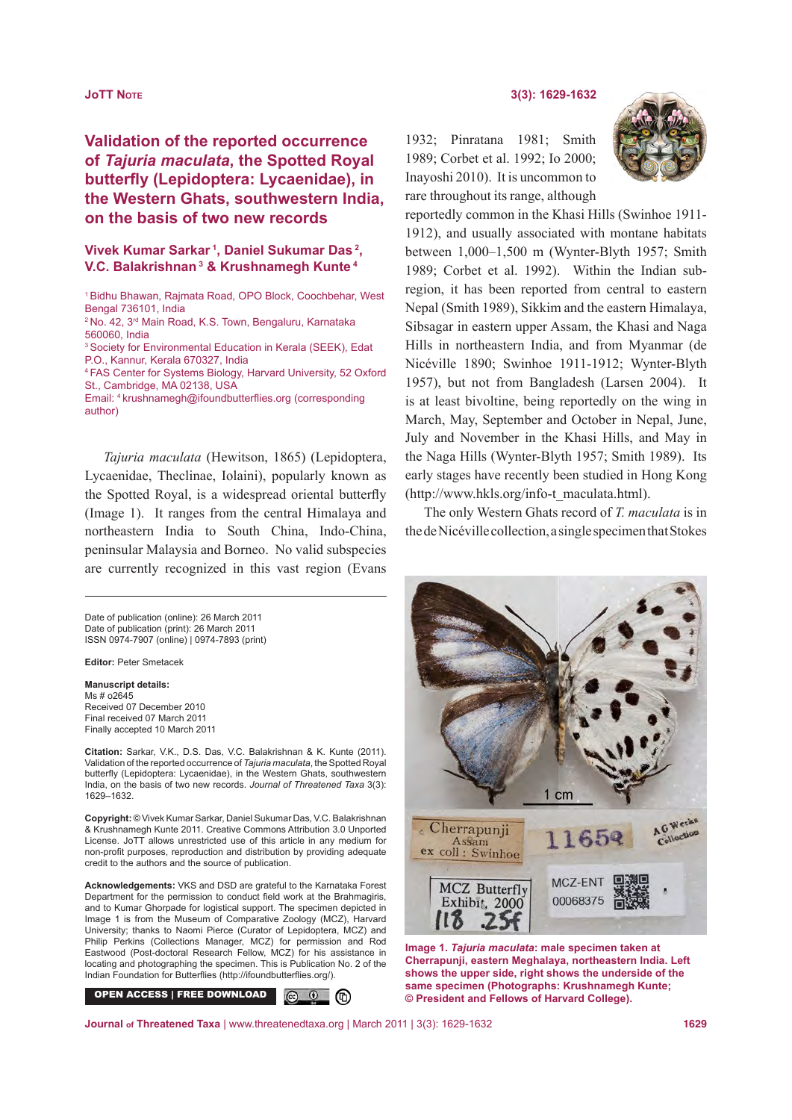# **Validation of the reported occurrence of** *Tajuria maculata***, the Spotted Royal butterfly (Lepidoptera: Lycaenidae), in the Western Ghats, southwestern India, on the basis of two new records**

**Vivek Kumar Sarkar 1, Daniel Sukumar Das 2, V.C. Balakrishnan 3 & Krushnamegh Kunte 4**

<sup>1</sup>Bidhu Bhawan, Rajmata Road, OPO Block, Coochbehar, West Bengal 736101, India 2 No. 42, 3rd Main Road, K.S. Town, Bengaluru, Karnataka 560060, India 3 Society for Environmental Education in Kerala (SEEK), Edat P.O., Kannur, Kerala 670327, India <sup>4</sup>FAS Center for Systems Biology, Harvard University, 52 Oxford St., Cambridge, MA 02138, USA Email: 4 krushnamegh@ifoundbutterflies.org (corresponding author)

*Tajuria maculata* (Hewitson, 1865) (Lepidoptera, Lycaenidae, Theclinae, Iolaini), popularly known as the Spotted Royal, is a widespread oriental butterfly (Image 1). It ranges from the central Himalaya and northeastern India to South China, Indo-China, peninsular Malaysia and Borneo. No valid subspecies are currently recognized in this vast region (Evans

Date of publication (online): 26 March 2011 Date of publication (print): 26 March 2011 ISSN 0974-7907 (online) | 0974-7893 (print)

**Editor:** Peter Smetacek

#### **Manuscript details:**  Ms # 02645

Received 07 December 2010 Final received 07 March 2011 Finally accepted 10 March 2011

**Citation:** Sarkar, V.K., D.S. Das, V.C. Balakrishnan & K. Kunte (2011). Validation of the reported occurrence of *Tajuria maculata*, the Spotted Royal butterfly (Lepidoptera: Lycaenidae), in the Western Ghats, southwestern India, on the basis of two new records. *Journal of Threatened Taxa* 3(3): 1629–1632.

**Copyright:** © Vivek Kumar Sarkar, Daniel Sukumar Das, V.C. Balakrishnan & Krushnamegh Kunte 2011. Creative Commons Attribution 3.0 Unported License. JoTT allows unrestricted use of this article in any medium for non-profit purposes, reproduction and distribution by providing adequate credit to the authors and the source of publication.

**Acknowledgements:** VKS and DSD are grateful to the Karnataka Forest Department for the permission to conduct field work at the Brahmagiris, and to Kumar Ghorpade for logistical support. The specimen depicted in Image 1 is from the Museum of Comparative Zoology (MCZ), Harvard University; thanks to Naomi Pierce (Curator of Lepidoptera, MCZ) and Philip Perkins (Collections Manager, MCZ) for permission and Rod Eastwood (Post-doctoral Research Fellow, MCZ) for his assistance in locating and photographing the specimen. This is Publication No. 2 of the Indian Foundation for Butterflies (http://ifoundbutterflies.org/).

OPEN ACCESS | FREE DOWNLOAD  $\circledcirc$  (0)

**JoTT Note 3(3): 1629-1632**

1932; Pinratana 1981; Smith 1989; Corbet et al. 1992; Io 2000; Inayoshi 2010). It is uncommon to rare throughout its range, although



reportedly common in the Khasi Hills (Swinhoe 1911- 1912), and usually associated with montane habitats between 1,000–1,500 m (Wynter-Blyth 1957; Smith 1989; Corbet et al. 1992). Within the Indian subregion, it has been reported from central to eastern Nepal (Smith 1989), Sikkim and the eastern Himalaya, Sibsagar in eastern upper Assam, the Khasi and Naga Hills in northeastern India, and from Myanmar (de Nicéville 1890; Swinhoe 1911-1912; Wynter-Blyth 1957), but not from Bangladesh (Larsen 2004). It is at least bivoltine, being reportedly on the wing in March, May, September and October in Nepal, June, July and November in the Khasi Hills, and May in the Naga Hills (Wynter-Blyth 1957; Smith 1989). Its early stages have recently been studied in Hong Kong (http://www.hkls.org/info-t\_maculata.html).

The only Western Ghats record of *T. maculata* is in the de Nicéville collection, a single specimen that Stokes



**Image 1.** *Tajuria maculata***: male specimen taken at Cherrapunji, eastern Meghalaya, northeastern India. Left shows the upper side, right shows the underside of the same specimen (Photographs: Krushnamegh Kunte; © President and Fellows of Harvard College).**

**Journal of Threatened Taxa** | www.threatenedtaxa.org | March 2011 | 3(3): 1629-1632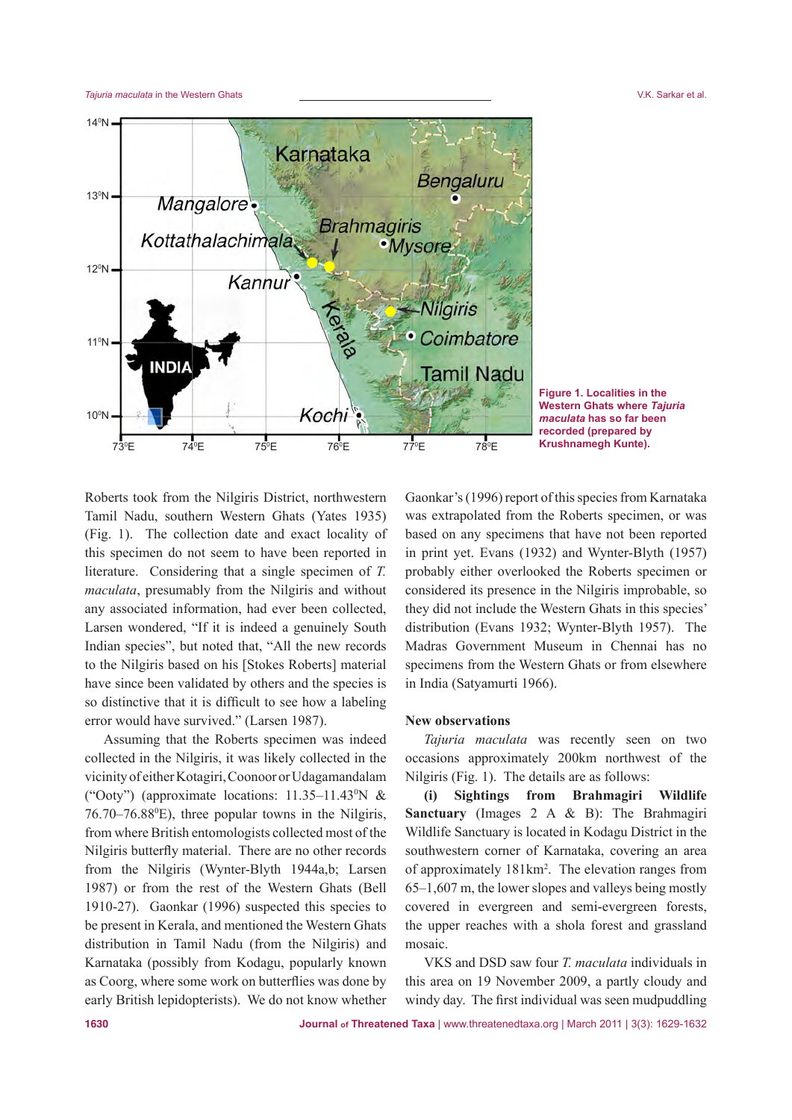

**Figure 1. Localities in the Western Ghats where** *Tajuria maculata* **has so far been recorded (prepared by Krushnamegh Kunte).**

Roberts took from the Nilgiris District, northwestern Tamil Nadu, southern Western Ghats (Yates 1935) (Fig. 1). The collection date and exact locality of this specimen do not seem to have been reported in literature. Considering that a single specimen of *T. maculata*, presumably from the Nilgiris and without any associated information, had ever been collected, Larsen wondered, "If it is indeed a genuinely South Indian species", but noted that, "All the new records to the Nilgiris based on his [Stokes Roberts] material have since been validated by others and the species is so distinctive that it is difficult to see how a labeling error would have survived." (Larsen 1987).

Assuming that the Roberts specimen was indeed collected in the Nilgiris, it was likely collected in the vicinity of either Kotagiri, Coonoor or Udagamandalam ("Ooty") (approximate locations:  $11.35-11.43^{\circ}N$  &  $76.70 - 76.88$ <sup>o</sup>E), three popular towns in the Nilgiris, from where British entomologists collected most of the Nilgiris butterfly material. There are no other records from the Nilgiris (Wynter-Blyth 1944a,b; Larsen 1987) or from the rest of the Western Ghats (Bell 1910-27). Gaonkar (1996) suspected this species to be present in Kerala, and mentioned the Western Ghats distribution in Tamil Nadu (from the Nilgiris) and Karnataka (possibly from Kodagu, popularly known as Coorg, where some work on butterflies was done by early British lepidopterists). We do not know whether

Gaonkar's (1996) report of this species from Karnataka was extrapolated from the Roberts specimen, or was based on any specimens that have not been reported in print yet. Evans (1932) and Wynter-Blyth (1957) probably either overlooked the Roberts specimen or considered its presence in the Nilgiris improbable, so they did not include the Western Ghats in this species' distribution (Evans 1932; Wynter-Blyth 1957). The Madras Government Museum in Chennai has no specimens from the Western Ghats or from elsewhere in India (Satyamurti 1966).

### **New observations**

*Tajuria maculata* was recently seen on two occasions approximately 200km northwest of the Nilgiris (Fig. 1). The details are as follows:

**(i) Sightings from Brahmagiri Wildlife Sanctuary** (Images 2 A & B): The Brahmagiri Wildlife Sanctuary is located in Kodagu District in the southwestern corner of Karnataka, covering an area of approximately 181km2 . The elevation ranges from 65–1,607 m, the lower slopes and valleys being mostly covered in evergreen and semi-evergreen forests, the upper reaches with a shola forest and grassland mosaic.

VKS and DSD saw four *T. maculata* individuals in this area on 19 November 2009, a partly cloudy and windy day. The first individual was seen mudpuddling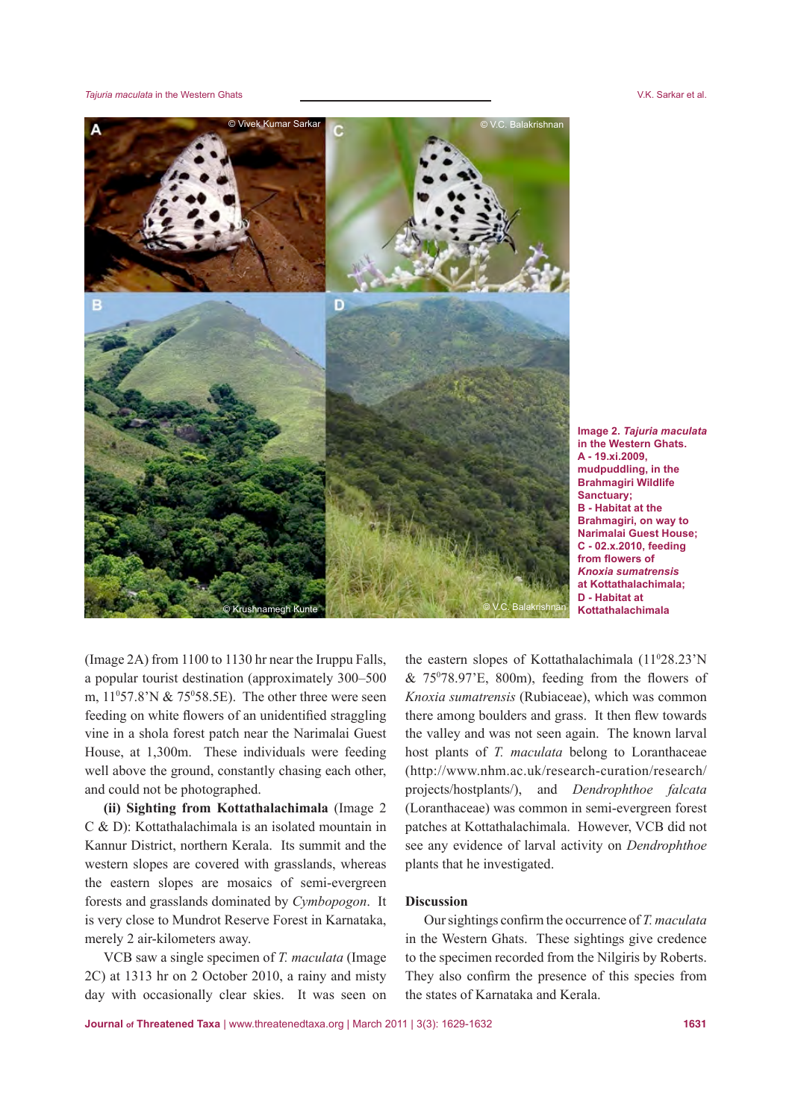*Tajuria maculata* in the Western Ghats V.K. Sarkar et al.



**Image 2.** *Tajuria maculata* **in the Western Ghats. A - 19.xi.2009, mudpuddling, in the Brahmagiri Wildlife Sanctuary; B - Habitat at the Brahmagiri, on way to Narimalai Guest House; C - 02.x.2010, feeding from flowers of**  *Knoxia sumatrensis* **at Kottathalachimala; D - Habitat at Kottathalachimala**

(Image 2A) from 1100 to 1130 hr near the Iruppu Falls, a popular tourist destination (approximately 300–500 m,  $11^{\circ}57.8^{\circ}$  N &  $75^{\circ}58.5E$ ). The other three were seen feeding on white flowers of an unidentified straggling vine in a shola forest patch near the Narimalai Guest House, at 1,300m. These individuals were feeding well above the ground, constantly chasing each other, and could not be photographed.

**(ii) Sighting from Kottathalachimala** (Image 2 C & D): Kottathalachimala is an isolated mountain in Kannur District, northern Kerala. Its summit and the western slopes are covered with grasslands, whereas the eastern slopes are mosaics of semi-evergreen forests and grasslands dominated by *Cymbopogon*. It is very close to Mundrot Reserve Forest in Karnataka, merely 2 air-kilometers away.

VCB saw a single specimen of *T. maculata* (Image 2C) at 1313 hr on 2 October 2010, a rainy and misty day with occasionally clear skies. It was seen on

the eastern slopes of Kottathalachimala (110 28.23'N  $& 75^{\circ}78.97^{\circ}E$ , 800m), feeding from the flowers of *Knoxia sumatrensis* (Rubiaceae), which was common there among boulders and grass. It then flew towards the valley and was not seen again. The known larval host plants of *T. maculata* belong to Loranthaceae (http://www.nhm.ac.uk/research-curation/research/ projects/hostplants/), and *Dendrophthoe falcata*  (Loranthaceae) was common in semi-evergreen forest patches at Kottathalachimala. However, VCB did not see any evidence of larval activity on *Dendrophthoe*  plants that he investigated.

## **Discussion**

Our sightings confirm the occurrence of *T. maculata*  in the Western Ghats. These sightings give credence to the specimen recorded from the Nilgiris by Roberts. They also confirm the presence of this species from the states of Karnataka and Kerala.